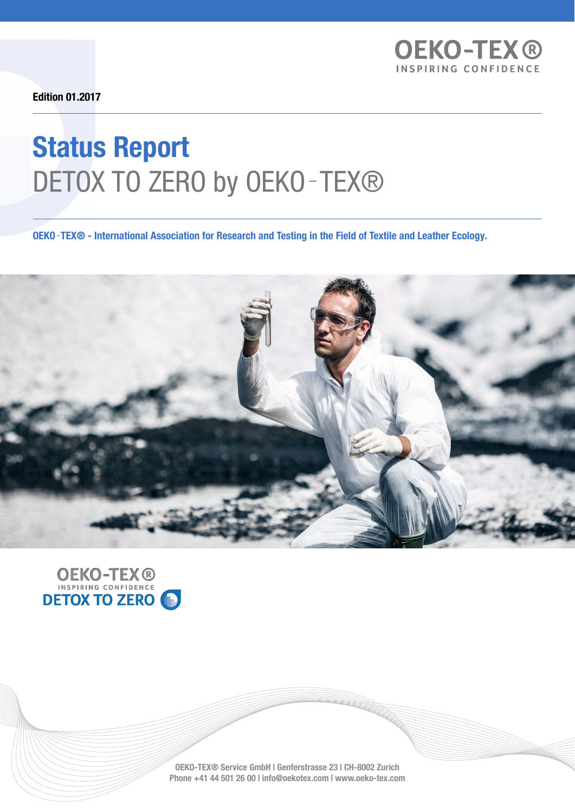

Edition 01.2017

# Status Report DETOX TO ZERO by OEKO-TEX®

OEKO‑TEX® - International Association for Research and Testing in the Field of Textile and Leather Ecology.





OEKO-TEX® Service GmbH | Genferstrasse 23 | CH-8002 Zurich Phone +41 44 501 26 00 | info@oekotex.com | www.oeko-tex.com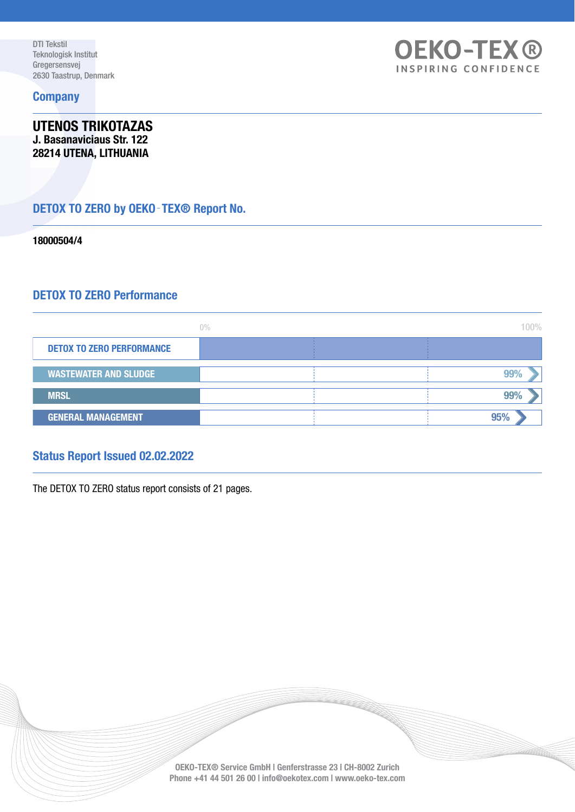#### **Company**

UTENOS TRIKOTAZAS J. Basanaviciaus Str. 122 28214 UTENA, LITHUANIA

# DETOX TO ZERO by OEKO-TEX<sup>®</sup> Report No.

18000504/4

## DETOX TO ZERO Performance

|                                  | $0\%$ | 100% |
|----------------------------------|-------|------|
| <b>DETOX TO ZERO PERFORMANCE</b> |       |      |
| <b>WASTEWATER AND SLUDGE</b>     |       | 99%  |
| <b>MRSL</b>                      |       | 99%  |
| <b>GENERAL MANAGEMENT</b>        |       | 95%  |

**OEKO-TEX®** INSPIRING CONFIDENCE

### Status Report Issued 02.02.2022

The DETOX TO ZERO status report consists of 21 pages.

OEKO-TEX® Service GmbH | Genferstrasse 23 | CH-8002 Zurich Phone +41 44 501 26 00 | info@oekotex.com | www.oeko-tex.com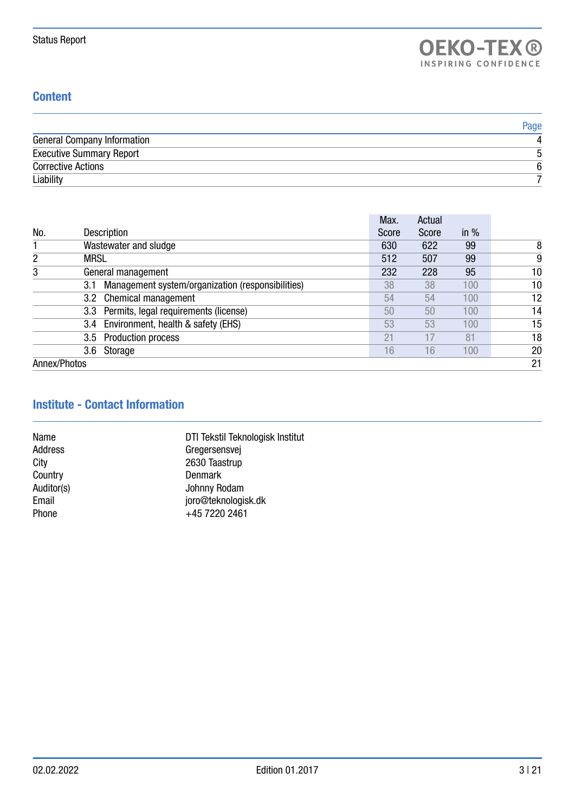## **Content**

|                                    | Page |
|------------------------------------|------|
| <b>General Company Information</b> |      |
| <b>Executive Summary Report</b>    |      |
| <b>Corrective Actions</b>          | 6    |
| Liability                          |      |

|                  |                                                   | Max.  | Actual |        |    |
|------------------|---------------------------------------------------|-------|--------|--------|----|
| No.              | <b>Description</b>                                | Score | Score  | in $%$ |    |
|                  | Wastewater and sludge                             | 630   | 622    | 99     | 8  |
| 2<br><b>MRSL</b> |                                                   | 512   | 507    | 99     | 9  |
| 3                | General management                                | 232   | 228    | 95     | 10 |
| 3.1              | Management system/organization (responsibilities) | 38    | 38     | 100    | 10 |
|                  | 3.2 Chemical management                           | 54    | 54     | 100    | 12 |
|                  | 3.3 Permits, legal requirements (license)         | 50    | 50     | 100    | 14 |
| 3.4              | Environment, health & safety (EHS)                | 53    | 53     | 100    | 15 |
|                  | 3.5 Production process                            | 21    | 17     | 81     | 18 |
|                  | 3.6 Storage                                       | 16    | 16     | 100    | 20 |
| Annex/Photos     |                                                   |       |        |        | 21 |

# Institute - Contact Information

| DTI Tekstil Teknologisk Institut |
|----------------------------------|
| Gregersensvej                    |
| 2630 Taastrup                    |
| Denmark                          |
| Johnny Rodam                     |
| joro@teknologisk.dk              |
| +45 7220 2461                    |
|                                  |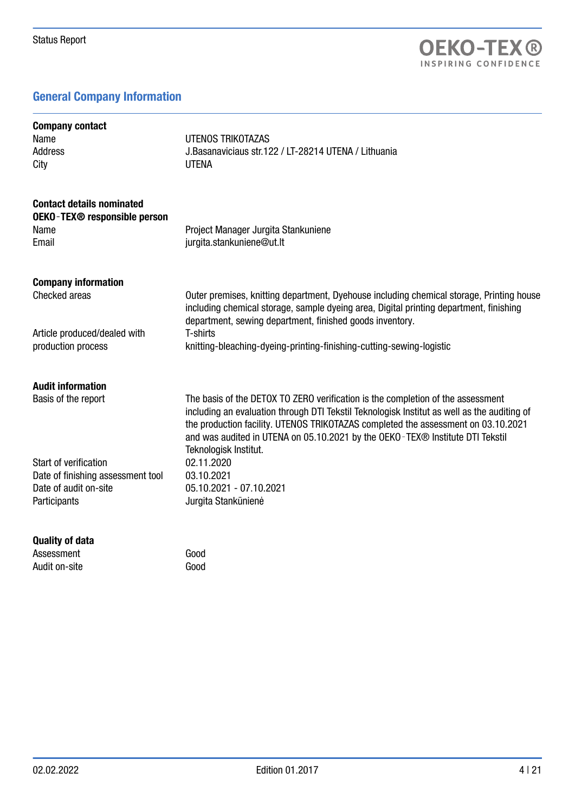# General Company Information

| <b>Company contact</b>                                                  |                                                                                                                                                                                                                                                                                                                                                                               |
|-------------------------------------------------------------------------|-------------------------------------------------------------------------------------------------------------------------------------------------------------------------------------------------------------------------------------------------------------------------------------------------------------------------------------------------------------------------------|
| Name                                                                    | UTENOS TRIKOTAZAS                                                                                                                                                                                                                                                                                                                                                             |
| <b>Address</b>                                                          | J.Basanaviciaus str.122 / LT-28214 UTENA / Lithuania                                                                                                                                                                                                                                                                                                                          |
| City                                                                    | <b>UTENA</b>                                                                                                                                                                                                                                                                                                                                                                  |
| <b>Contact details nominated</b><br><b>OEKO-TEX® responsible person</b> |                                                                                                                                                                                                                                                                                                                                                                               |
| Name                                                                    | Project Manager Jurgita Stankuniene                                                                                                                                                                                                                                                                                                                                           |
| Email                                                                   | jurgita.stankuniene@ut.lt                                                                                                                                                                                                                                                                                                                                                     |
| <b>Company information</b>                                              |                                                                                                                                                                                                                                                                                                                                                                               |
| Checked areas                                                           | Outer premises, knitting department, Dyehouse including chemical storage, Printing house<br>including chemical storage, sample dyeing area, Digital printing department, finishing<br>department, sewing department, finished goods inventory.                                                                                                                                |
| Article produced/dealed with                                            | T-shirts                                                                                                                                                                                                                                                                                                                                                                      |
| production process                                                      | knitting-bleaching-dyeing-printing-finishing-cutting-sewing-logistic                                                                                                                                                                                                                                                                                                          |
| <b>Audit information</b>                                                |                                                                                                                                                                                                                                                                                                                                                                               |
| Basis of the report                                                     | The basis of the DETOX TO ZERO verification is the completion of the assessment<br>including an evaluation through DTI Tekstil Teknologisk Institut as well as the auditing of<br>the production facility. UTENOS TRIKOTAZAS completed the assessment on 03.10.2021<br>and was audited in UTENA on 05.10.2021 by the OEKO-TEX® Institute DTI Tekstil<br>Teknologisk Institut. |
| Start of verification                                                   | 02.11.2020                                                                                                                                                                                                                                                                                                                                                                    |
| Date of finishing assessment tool                                       | 03.10.2021                                                                                                                                                                                                                                                                                                                                                                    |
| Date of audit on-site                                                   | 05.10.2021 - 07.10.2021                                                                                                                                                                                                                                                                                                                                                       |
| Participants                                                            | Jurgita Stankūnienė                                                                                                                                                                                                                                                                                                                                                           |
| <b>Quality of data</b>                                                  |                                                                                                                                                                                                                                                                                                                                                                               |
| Assessment                                                              | Good                                                                                                                                                                                                                                                                                                                                                                          |
| Audit on-site                                                           | Good                                                                                                                                                                                                                                                                                                                                                                          |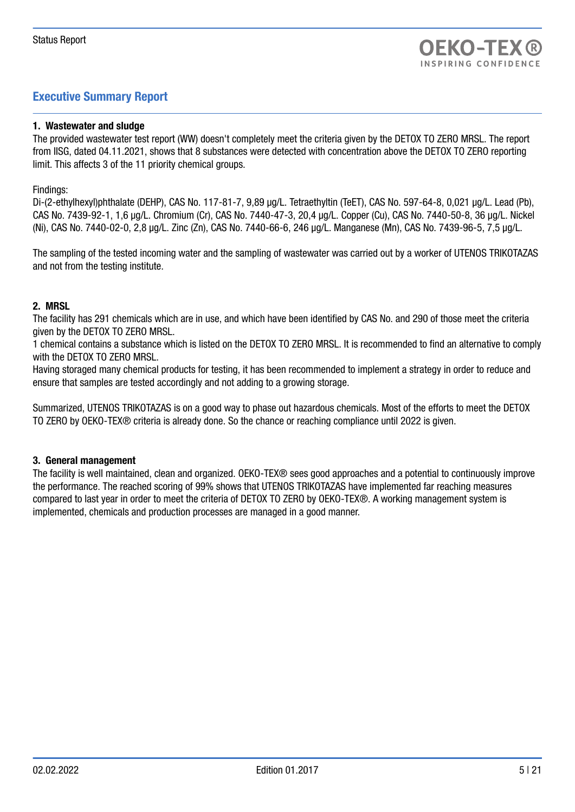# Executive Summary Report

#### 1. Wastewater and sludge

The provided wastewater test report (WW) doesn't completely meet the criteria given by the DETOX TO ZERO MRSL. The report from IISG, dated 04.11.2021, shows that 8 substances were detected with concentration above the DETOX TO ZERO reporting limit. This affects 3 of the 11 priority chemical groups.

#### Findings:

Di-(2-ethylhexyl)phthalate (DEHP), CAS No. 117-81-7, 9,89 μg/L. Tetraethyltin (TeET), CAS No. 597-64-8, 0,021 μg/L. Lead (Pb), CAS No. 7439-92-1, 1,6 μg/L. Chromium (Cr), CAS No. 7440-47-3, 20,4 μg/L. Copper (Cu), CAS No. 7440-50-8, 36 μg/L. Nickel (Ni), CAS No. 7440-02-0, 2,8 μg/L. Zinc (Zn), CAS No. 7440-66-6, 246 μg/L. Manganese (Mn), CAS No. 7439-96-5, 7,5 μg/L.

The sampling of the tested incoming water and the sampling of wastewater was carried out by a worker of UTENOS TRIKOTAZAS and not from the testing institute.

#### 2. MRSL

The facility has 291 chemicals which are in use, and which have been identified by CAS No. and 290 of those meet the criteria given by the DETOX TO ZERO MRSL.

1 chemical contains a substance which is listed on the DETOX TO ZERO MRSL. It is recommended to find an alternative to comply with the DETOX TO ZERO MRSL.

Having storaged many chemical products for testing, it has been recommended to implement a strategy in order to reduce and ensure that samples are tested accordingly and not adding to a growing storage.

Summarized, UTENOS TRIKOTAZAS is on a good way to phase out hazardous chemicals. Most of the efforts to meet the DETOX TO ZERO by OEKO-TEX® criteria is already done. So the chance or reaching compliance until 2022 is given.

#### 3. General management

The facility is well maintained, clean and organized. OEKO-TEX® sees good approaches and a potential to continuously improve the performance. The reached scoring of 99% shows that UTENOS TRIKOTAZAS have implemented far reaching measures compared to last year in order to meet the criteria of DETOX TO ZERO by OEKO-TEX®. A working management system is implemented, chemicals and production processes are managed in a good manner.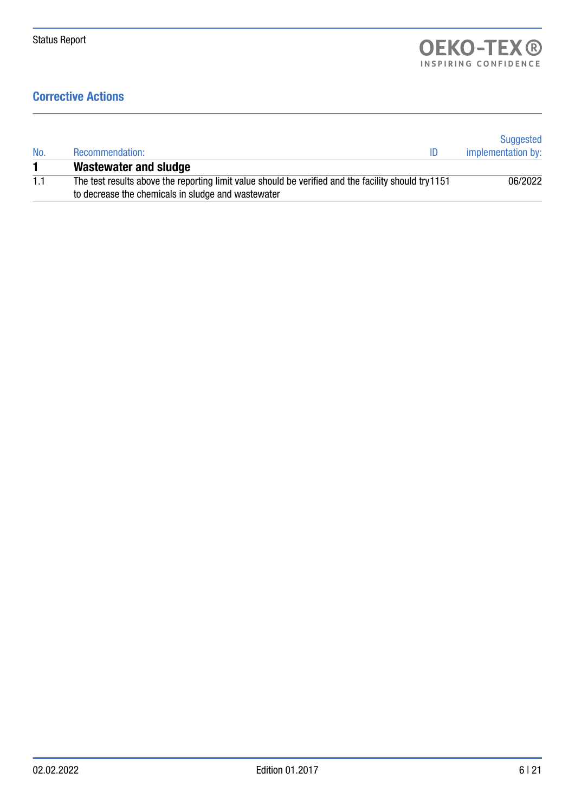# Corrective Actions

| No. | Recommendation:<br>ID                                                                                                                                     | Suggested<br>implementation by: |
|-----|-----------------------------------------------------------------------------------------------------------------------------------------------------------|---------------------------------|
|     | Wastewater and sludge                                                                                                                                     |                                 |
| 1.1 | The test results above the reporting limit value should be verified and the facility should try1151<br>to decrease the chemicals in sludge and wastewater | 06/2022                         |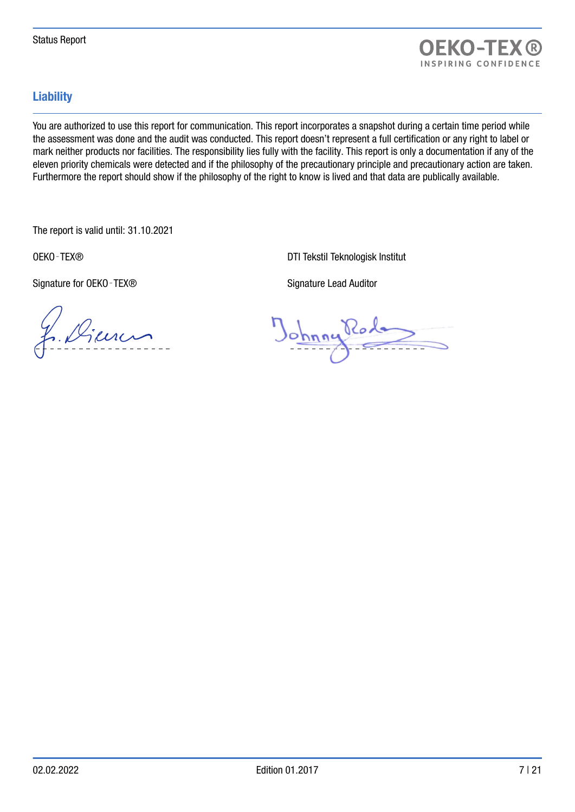

# **Liability**

You are authorized to use this report for communication. This report incorporates a snapshot during a certain time period while the assessment was done and the audit was conducted. This report doesn't represent a full certification or any right to label or mark neither products nor facilities. The responsibility lies fully with the facility. This report is only a documentation if any of the eleven priority chemicals were detected and if the philosophy of the precautionary principle and precautionary action are taken. Furthermore the report should show if the philosophy of the right to know is lived and that data are publically available.

The report is valid until: 31.10.2021

Signature for OEKO - TEX® Signature Lead Auditor

OEKO‐TEX® DTI Tekstil Teknologisk Institut

f. Dienen

Johnny Rode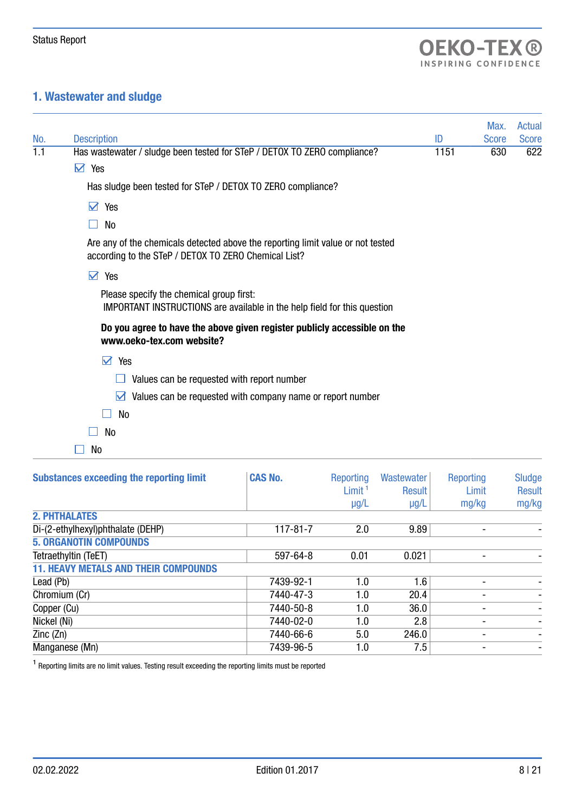# 1. Wastewater and sludge

|     |                                                                                                                                         |      | Max.         | <b>Actual</b> |
|-----|-----------------------------------------------------------------------------------------------------------------------------------------|------|--------------|---------------|
| No. | <b>Description</b>                                                                                                                      | ID   | <b>Score</b> | <b>Score</b>  |
| 1.1 | Has wastewater / sludge been tested for STeP / DETOX TO ZERO compliance?                                                                | 1151 | 630          | 622           |
|     | Yes<br>$\blacktriangledown$                                                                                                             |      |              |               |
|     | Has sludge been tested for STeP / DETOX TO ZERO compliance?                                                                             |      |              |               |
|     | M<br>Yes                                                                                                                                |      |              |               |
|     | No                                                                                                                                      |      |              |               |
|     | Are any of the chemicals detected above the reporting limit value or not tested<br>according to the STeP / DETOX TO ZERO Chemical List? |      |              |               |
|     | Yes<br>M                                                                                                                                |      |              |               |
|     | Please specify the chemical group first:<br><b>IMPORTANT INSTRUCTIONS</b> are available in the help field for this question             |      |              |               |
|     | Do you agree to have the above given register publicly accessible on the<br>www.oeko-tex.com website?                                   |      |              |               |
|     | $\triangledown$ Yes                                                                                                                     |      |              |               |
|     | Values can be requested with report number                                                                                              |      |              |               |
|     | Values can be requested with company name or report number<br>M                                                                         |      |              |               |
|     | No                                                                                                                                      |      |              |               |
|     | No                                                                                                                                      |      |              |               |
|     | No                                                                                                                                      |      |              |               |

| <b>Substances exceeding the reporting limit</b> | <b>CAS No.</b> | Reporting<br>Limit <sup>1</sup><br>$\mu$ g/L | Wastewater<br><b>Result</b><br>$\mu$ g/L | Reporting<br>Limit<br>mg/kg | <b>Sludge</b><br><b>Result</b><br>mg/kg |
|-------------------------------------------------|----------------|----------------------------------------------|------------------------------------------|-----------------------------|-----------------------------------------|
| <b>2. PHTHALATES</b>                            |                |                                              |                                          |                             |                                         |
| Di-(2-ethylhexyl)phthalate (DEHP)               | $117 - 81 - 7$ | 2.0                                          | 9.89                                     |                             |                                         |
| <b>5. ORGANOTIN COMPOUNDS</b>                   |                |                                              |                                          |                             |                                         |
| Tetraethyltin (TeET)                            | 597-64-8       | 0.01                                         | 0.021                                    |                             |                                         |
| <b>11. HEAVY METALS AND THEIR COMPOUNDS</b>     |                |                                              |                                          |                             |                                         |
| Lead (Pb)                                       | 7439-92-1      | 1.0                                          | 1.6                                      |                             |                                         |
| Chromium (Cr)                                   | 7440-47-3      | 1.0                                          | 20.4                                     |                             |                                         |
| Copper (Cu)                                     | 7440-50-8      | 1.0                                          | 36.0                                     |                             | ۰                                       |
| Nickel (Ni)                                     | 7440-02-0      | 1.0                                          | 2.8                                      |                             |                                         |
| Zinc(Zn)                                        | 7440-66-6      | 5.0                                          | 246.0                                    |                             |                                         |
| Manganese (Mn)                                  | 7439-96-5      | 1.0                                          | 7.5                                      |                             |                                         |

 $1$  Reporting limits are no limit values. Testing result exceeding the reporting limits must be reported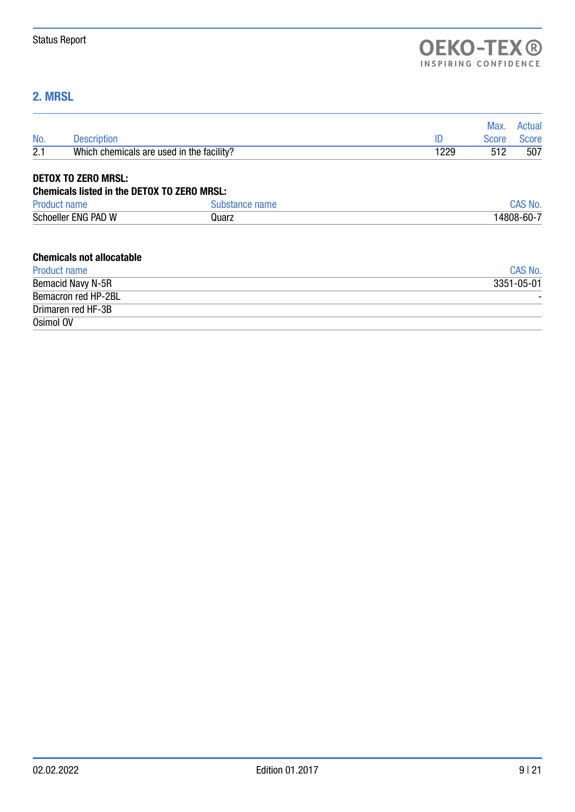# 2. MRSL

|           |                                                    |                |      | Max.         | Actual         |
|-----------|----------------------------------------------------|----------------|------|--------------|----------------|
| No.       | <b>Description</b>                                 |                | ID   | <b>Score</b> | <b>Score</b>   |
| 2.1       | Which chemicals are used in the facility?          |                | 1229 | 512          | 507            |
|           | <b>DETOX TO ZERO MRSL:</b>                         |                |      |              |                |
|           | <b>Chemicals listed in the DETOX TO ZERO MRSL:</b> |                |      |              |                |
|           | <b>Product name</b>                                | Substance name |      |              | <b>CAS No.</b> |
|           | Schoeller ENG PAD W                                | Quarz          |      |              | 14808-60-7     |
|           | <b>Chemicals not allocatable</b>                   |                |      |              |                |
|           | Product name                                       |                |      |              | CAS No.        |
|           | <b>Bemacid Navy N-5R</b>                           |                |      |              | 3351-05-01     |
|           | Bemacron red HP-2BL                                |                |      |              |                |
|           | Drimaren red HF-3B                                 |                |      |              |                |
| Osimol OV |                                                    |                |      |              |                |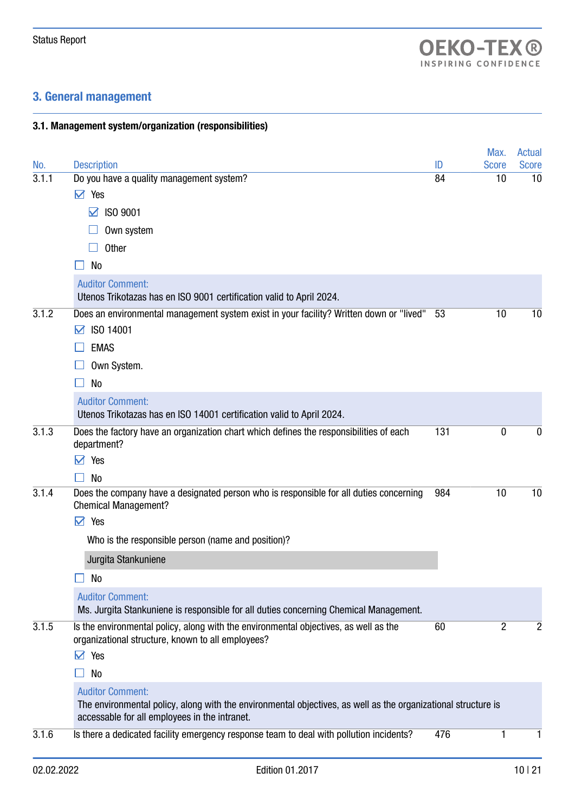# 3. General management

## 3.1. Management system/organization (responsibilities)

|       |                                                                                                                                                                                           |     | Max.         | <b>Actual</b> |
|-------|-------------------------------------------------------------------------------------------------------------------------------------------------------------------------------------------|-----|--------------|---------------|
| No.   | <b>Description</b><br>Do you have a quality management system?                                                                                                                            | ID  | <b>Score</b> | Score         |
| 3.1.1 | $\vee$ Yes                                                                                                                                                                                | 84  | 10           | 10            |
|       | $\boxtimes$ ISO 9001                                                                                                                                                                      |     |              |               |
|       | Own system                                                                                                                                                                                |     |              |               |
|       | <b>Other</b>                                                                                                                                                                              |     |              |               |
|       | No                                                                                                                                                                                        |     |              |               |
|       | <b>Auditor Comment:</b><br>Utenos Trikotazas has en ISO 9001 certification valid to April 2024.                                                                                           |     |              |               |
| 3.1.2 | Does an environmental management system exist in your facility? Written down or "lived"<br>ISO 14001<br>M                                                                                 | 53  | 10           | 10            |
|       | <b>EMAS</b>                                                                                                                                                                               |     |              |               |
|       | Own System.                                                                                                                                                                               |     |              |               |
|       | N <sub>0</sub>                                                                                                                                                                            |     |              |               |
|       | <b>Auditor Comment:</b><br>Utenos Trikotazas has en ISO 14001 certification valid to April 2024.                                                                                          |     |              |               |
| 3.1.3 | Does the factory have an organization chart which defines the responsibilities of each<br>department?                                                                                     | 131 | 0            | 0             |
|       | Yes<br>$\blacktriangledown$                                                                                                                                                               |     |              |               |
| 3.1.4 | <b>No</b><br>Does the company have a designated person who is responsible for all duties concerning                                                                                       | 984 | 10           | 10            |
|       | <b>Chemical Management?</b>                                                                                                                                                               |     |              |               |
|       | $\triangledown$ Yes                                                                                                                                                                       |     |              |               |
|       | Who is the responsible person (name and position)?                                                                                                                                        |     |              |               |
|       | Jurgita Stankuniene                                                                                                                                                                       |     |              |               |
|       | No                                                                                                                                                                                        |     |              |               |
|       | <b>Auditor Comment:</b><br>Ms. Jurgita Stankuniene is responsible for all duties concerning Chemical Management.                                                                          |     |              |               |
| 3.1.5 | Is the environmental policy, along with the environmental objectives, as well as the<br>organizational structure, known to all employees?                                                 | 60  | 2            | 2             |
|       | $\vee$ Yes                                                                                                                                                                                |     |              |               |
|       | No                                                                                                                                                                                        |     |              |               |
|       | <b>Auditor Comment:</b><br>The environmental policy, along with the environmental objectives, as well as the organizational structure is<br>accessable for all employees in the intranet. |     |              |               |
| 3.1.6 | Is there a dedicated facility emergency response team to deal with pollution incidents?                                                                                                   | 476 | 1            | 1             |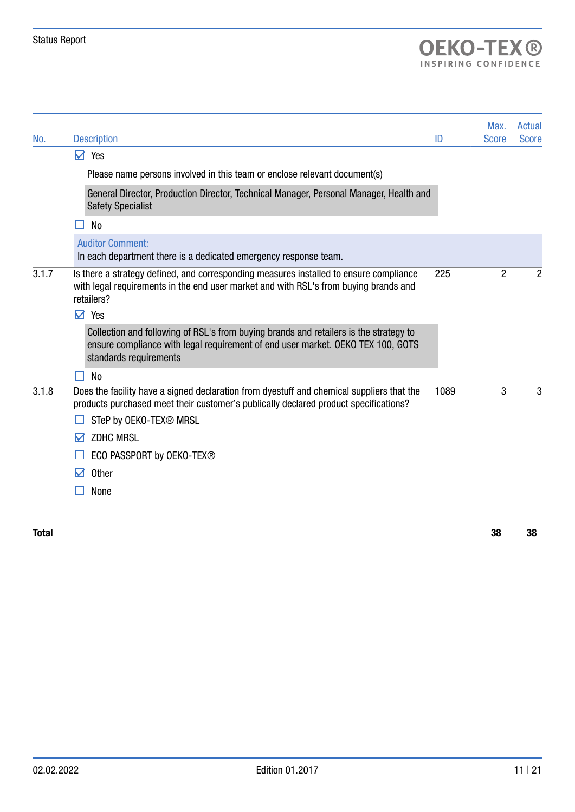# OEKO-TEX<sup>®</sup>

| No.   | <b>Description</b>                                                                                                                                                                                 | ID   | Max.<br><b>Score</b> | Actual<br><b>Score</b> |
|-------|----------------------------------------------------------------------------------------------------------------------------------------------------------------------------------------------------|------|----------------------|------------------------|
|       | $\vee$ Yes                                                                                                                                                                                         |      |                      |                        |
|       | Please name persons involved in this team or enclose relevant document(s)                                                                                                                          |      |                      |                        |
|       | General Director, Production Director, Technical Manager, Personal Manager, Health and<br><b>Safety Specialist</b>                                                                                 |      |                      |                        |
|       | <b>No</b>                                                                                                                                                                                          |      |                      |                        |
|       | <b>Auditor Comment:</b><br>In each department there is a dedicated emergency response team.                                                                                                        |      |                      |                        |
| 3.1.7 | Is there a strategy defined, and corresponding measures installed to ensure compliance<br>with legal requirements in the end user market and with RSL's from buying brands and<br>retailers?       | 225  | 2                    | 2                      |
|       | $\triangledown$ Yes                                                                                                                                                                                |      |                      |                        |
|       | Collection and following of RSL's from buying brands and retailers is the strategy to<br>ensure compliance with legal requirement of end user market. OEKO TEX 100, GOTS<br>standards requirements |      |                      |                        |
|       | No                                                                                                                                                                                                 |      |                      |                        |
| 3.1.8 | Does the facility have a signed declaration from dyestuff and chemical suppliers that the<br>products purchased meet their customer's publically declared product specifications?                  | 1089 | 3                    | 3                      |
|       | STeP by OEKO-TEX® MRSL                                                                                                                                                                             |      |                      |                        |
|       | <b>ZDHC MRSL</b><br>M                                                                                                                                                                              |      |                      |                        |
|       | ECO PASSPORT by OEKO-TEX®                                                                                                                                                                          |      |                      |                        |
|       | <b>Other</b><br>М                                                                                                                                                                                  |      |                      |                        |
|       | None                                                                                                                                                                                               |      |                      |                        |

Total 38 38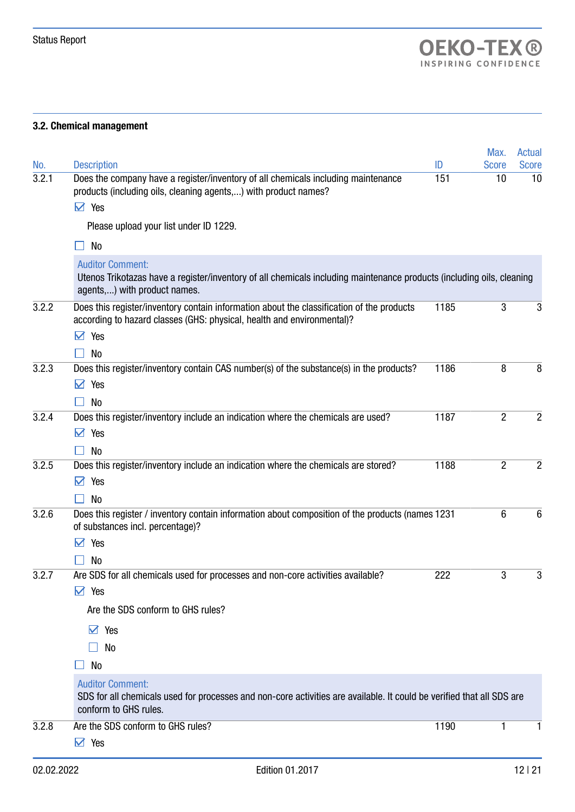## 3.2. Chemical management

|       |                                                                                                                                                                                  |      | Max.           | <b>Actual</b>  |
|-------|----------------------------------------------------------------------------------------------------------------------------------------------------------------------------------|------|----------------|----------------|
| No.   | <b>Description</b>                                                                                                                                                               | ID   | <b>Score</b>   | <b>Score</b>   |
| 3.2.1 | Does the company have a register/inventory of all chemicals including maintenance<br>products (including oils, cleaning agents,) with product names?                             | 151  | 10             | 10             |
|       | $\triangledown$ Yes                                                                                                                                                              |      |                |                |
|       | Please upload your list under ID 1229.                                                                                                                                           |      |                |                |
|       | No                                                                                                                                                                               |      |                |                |
|       | <b>Auditor Comment:</b><br>Utenos Trikotazas have a register/inventory of all chemicals including maintenance products (including oils, cleaning<br>agents,) with product names. |      |                |                |
| 3.2.2 | Does this register/inventory contain information about the classification of the products<br>according to hazard classes (GHS: physical, health and environmental)?              | 1185 | 3              | 3              |
|       | Yes<br>☑                                                                                                                                                                         |      |                |                |
|       | No                                                                                                                                                                               |      |                |                |
| 3.2.3 | Does this register/inventory contain CAS number(s) of the substance(s) in the products?                                                                                          | 1186 | 8              | 8              |
|       | ☑<br>Yes                                                                                                                                                                         |      |                |                |
|       | No                                                                                                                                                                               |      |                |                |
| 3.2.4 | Does this register/inventory include an indication where the chemicals are used?                                                                                                 | 1187 | $\overline{2}$ | $\overline{2}$ |
|       | Yes<br>M                                                                                                                                                                         |      |                |                |
|       | <b>No</b>                                                                                                                                                                        |      |                |                |
| 3.2.5 | Does this register/inventory include an indication where the chemicals are stored?<br>☑<br>Yes                                                                                   | 1188 | $\overline{2}$ | $\overline{2}$ |
|       | No                                                                                                                                                                               |      |                |                |
| 3.2.6 | Does this register / inventory contain information about composition of the products (names 1231<br>of substances incl. percentage)?                                             |      | 6              | $\,6\,$        |
|       | Yes<br>М                                                                                                                                                                         |      |                |                |
|       | No                                                                                                                                                                               |      |                |                |
| 3.2.7 | Are SDS for all chemicals used for processes and non-core activities available?                                                                                                  | 222  | 3              | 3              |
|       | $\vee$ Yes                                                                                                                                                                       |      |                |                |
|       | Are the SDS conform to GHS rules?                                                                                                                                                |      |                |                |
|       | $\vee$ Yes                                                                                                                                                                       |      |                |                |
|       | No                                                                                                                                                                               |      |                |                |
|       | No                                                                                                                                                                               |      |                |                |
|       | <b>Auditor Comment:</b><br>SDS for all chemicals used for processes and non-core activities are available. It could be verified that all SDS are<br>conform to GHS rules.        |      |                |                |
| 3.2.8 | Are the SDS conform to GHS rules?                                                                                                                                                | 1190 |                |                |
|       | $\triangleright$ Yes                                                                                                                                                             |      |                |                |
|       |                                                                                                                                                                                  |      |                |                |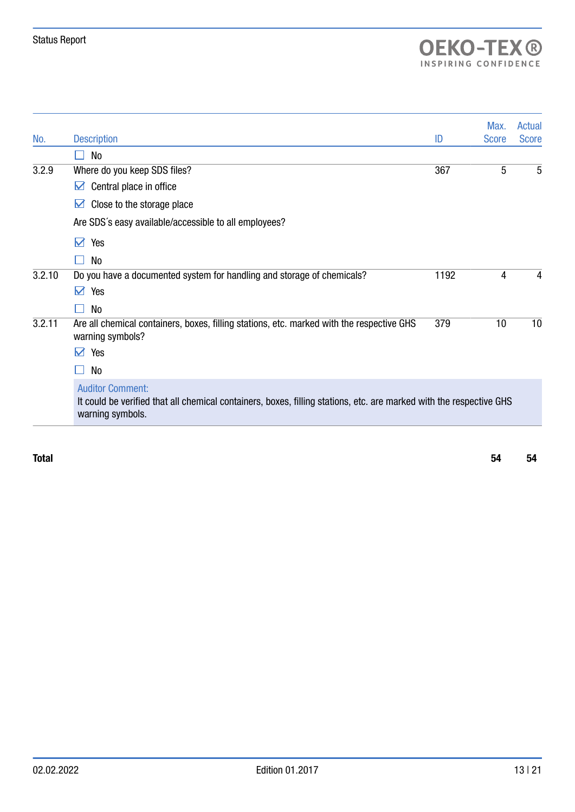# OEKO-TEX<sup>®</sup>

|        |                                                                                                                                                                    |      | Max.         | <b>Actual</b> |
|--------|--------------------------------------------------------------------------------------------------------------------------------------------------------------------|------|--------------|---------------|
| No.    | <b>Description</b>                                                                                                                                                 | ID   | <b>Score</b> | <b>Score</b>  |
|        | No                                                                                                                                                                 |      |              |               |
| 3.2.9  | Where do you keep SDS files?                                                                                                                                       | 367  | 5            | 5             |
|        | Central place in office<br>M                                                                                                                                       |      |              |               |
|        | Close to the storage place<br>M                                                                                                                                    |      |              |               |
|        | Are SDS's easy available/accessible to all employees?                                                                                                              |      |              |               |
|        | $\blacktriangledown$<br>Yes                                                                                                                                        |      |              |               |
|        | No                                                                                                                                                                 |      |              |               |
| 3.2.10 | Do you have a documented system for handling and storage of chemicals?                                                                                             | 1192 | 4            | 4             |
|        | $\sum$<br>Yes                                                                                                                                                      |      |              |               |
|        | No                                                                                                                                                                 |      |              |               |
| 3.2.11 | Are all chemical containers, boxes, filling stations, etc. marked with the respective GHS<br>warning symbols?                                                      | 379  | 10           | 10            |
|        | M<br>Yes                                                                                                                                                           |      |              |               |
|        | No                                                                                                                                                                 |      |              |               |
|        | <b>Auditor Comment:</b><br>It could be verified that all chemical containers, boxes, filling stations, etc. are marked with the respective GHS<br>warning symbols. |      |              |               |

Total 54 54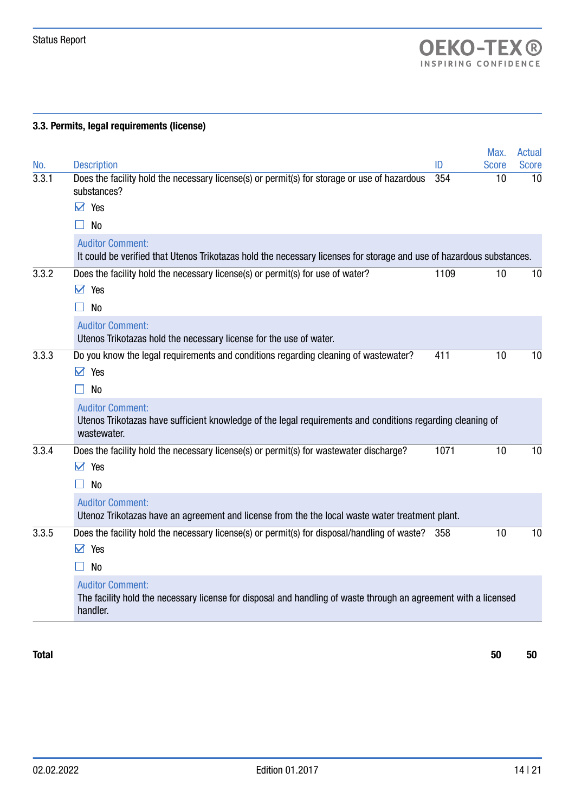### 3.3. Permits, legal requirements (license)

|              |                                                                                                                                                        |           | Max.               | Actual             |
|--------------|--------------------------------------------------------------------------------------------------------------------------------------------------------|-----------|--------------------|--------------------|
| No.<br>3.3.1 | <b>Description</b><br>Does the facility hold the necessary license(s) or permit(s) for storage or use of hazardous<br>substances?                      | ID<br>354 | <b>Score</b><br>10 | <b>Score</b><br>10 |
|              | $\triangledown$ Yes                                                                                                                                    |           |                    |                    |
|              | N <sub>o</sub>                                                                                                                                         |           |                    |                    |
|              | <b>Auditor Comment:</b><br>It could be verified that Utenos Trikotazas hold the necessary licenses for storage and use of hazardous substances.        |           |                    |                    |
| 3.3.2        | Does the facility hold the necessary license(s) or permit(s) for use of water?<br>$\triangledown$ Yes                                                  | 1109      | 10                 | 10                 |
|              | <b>No</b>                                                                                                                                              |           |                    |                    |
|              | <b>Auditor Comment:</b><br>Utenos Trikotazas hold the necessary license for the use of water.                                                          |           |                    |                    |
| 3.3.3        | Do you know the legal requirements and conditions regarding cleaning of wastewater?<br>$\triangledown$ Yes                                             | 411       | 10                 | 10                 |
|              | N <sub>o</sub>                                                                                                                                         |           |                    |                    |
|              | <b>Auditor Comment:</b><br>Utenos Trikotazas have sufficient knowledge of the legal requirements and conditions regarding cleaning of<br>wastewater.   |           |                    |                    |
| 3.3.4        | Does the facility hold the necessary license(s) or permit(s) for wastewater discharge?<br>$\triangledown$ Yes                                          | 1071      | 10                 | 10                 |
|              | <b>No</b>                                                                                                                                              |           |                    |                    |
|              | <b>Auditor Comment:</b><br>Utenoz Trikotazas have an agreement and license from the the local waste water treatment plant.                             |           |                    |                    |
| 3.3.5        | Does the facility hold the necessary license(s) or permit(s) for disposal/handling of waste? 358<br>$\triangledown$<br>Yes                             |           | 10                 | 10                 |
|              | <b>No</b>                                                                                                                                              |           |                    |                    |
|              | <b>Auditor Comment:</b><br>The facility hold the necessary license for disposal and handling of waste through an agreement with a licensed<br>handler. |           |                    |                    |

Total 50 50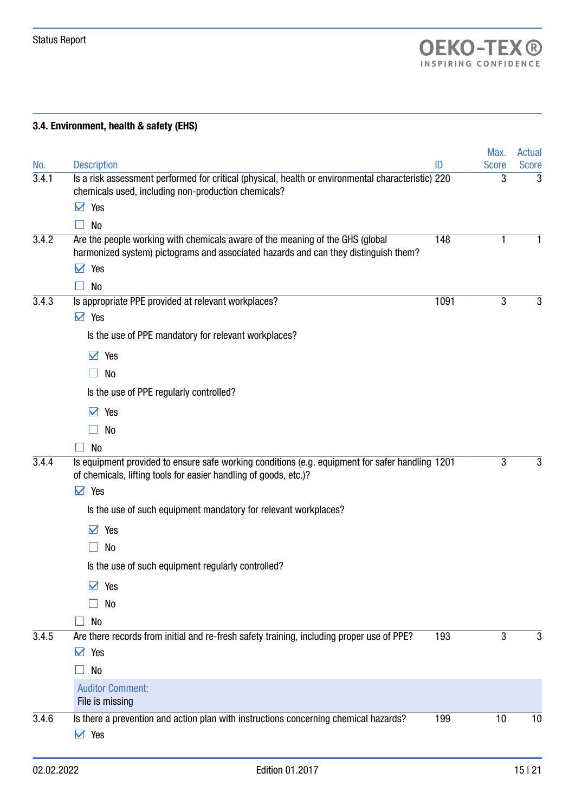## 3.4. Environment, health & safety (EHS)

| No.   | <b>Description</b>                                                                                                                                                                                                                                                                                                                                                | ID   | Max.<br><b>Score</b> | Actual<br><b>Score</b> |
|-------|-------------------------------------------------------------------------------------------------------------------------------------------------------------------------------------------------------------------------------------------------------------------------------------------------------------------------------------------------------------------|------|----------------------|------------------------|
| 3.4.1 | Is a risk assessment performed for critical (physical, health or environmental characteristic) 220<br>chemicals used, including non-production chemicals?<br>Yes<br>M<br>No                                                                                                                                                                                       |      | 3                    | 3                      |
| 3.4.2 | Are the people working with chemicals aware of the meaning of the GHS (global<br>harmonized system) pictograms and associated hazards and can they distinguish them?<br>☑<br>Yes                                                                                                                                                                                  | 148  |                      | 1                      |
| 3.4.3 | <b>No</b><br>Is appropriate PPE provided at relevant workplaces?<br>$\triangledown$ Yes<br>Is the use of PPE mandatory for relevant workplaces?                                                                                                                                                                                                                   | 1091 | 3                    | 3                      |
|       | $\blacktriangledown$<br>Yes<br>No<br>Is the use of PPE regularly controlled?<br>$\vee$<br>Yes<br>No                                                                                                                                                                                                                                                               |      |                      |                        |
| 3.4.4 | <b>No</b><br>Is equipment provided to ensure safe working conditions (e.g. equipment for safer handling 1201<br>of chemicals, lifting tools for easier handling of goods, etc.)?<br>$\triangledown$<br>Yes<br>Is the use of such equipment mandatory for relevant workplaces?<br>Yes<br>М<br>No<br>Is the use of such equipment regularly controlled?<br>☑<br>Yes |      | 3                    | 3                      |
| 3.4.5 | No<br>No<br>Are there records from initial and re-fresh safety training, including proper use of PPE?<br>☑<br>Yes<br>No<br><b>Auditor Comment:</b>                                                                                                                                                                                                                | 193  | 3                    | 3                      |
| 3.4.6 | File is missing<br>Is there a prevention and action plan with instructions concerning chemical hazards?<br>$\triangledown$ Yes                                                                                                                                                                                                                                    | 199  | 10                   | 10                     |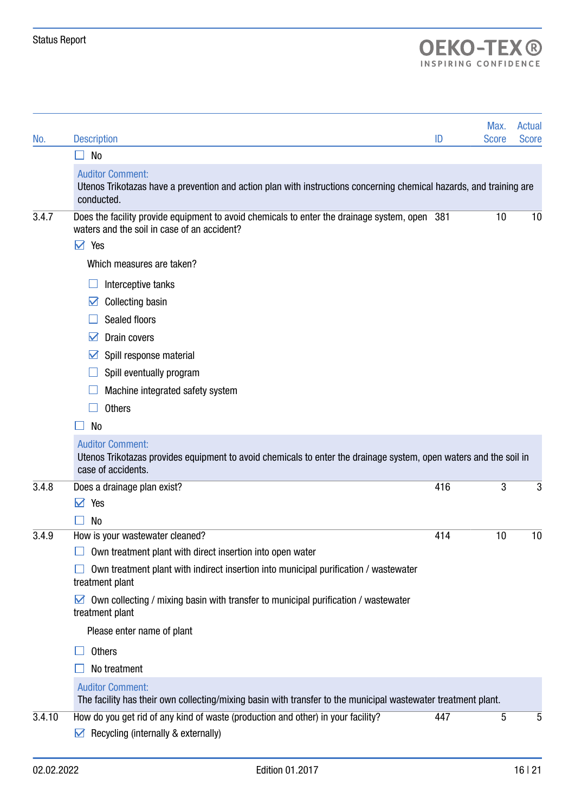# OEKO-TEX<sup>®</sup>

|        |                                                                                                                                                                    |     | Max.         | <b>Actual</b> |
|--------|--------------------------------------------------------------------------------------------------------------------------------------------------------------------|-----|--------------|---------------|
| No.    | <b>Description</b><br>No                                                                                                                                           | ID  | <b>Score</b> | <b>Score</b>  |
|        | <b>Auditor Comment:</b>                                                                                                                                            |     |              |               |
|        | Utenos Trikotazas have a prevention and action plan with instructions concerning chemical hazards, and training are<br>conducted.                                  |     |              |               |
| 3.4.7  | Does the facility provide equipment to avoid chemicals to enter the drainage system, open 381<br>waters and the soil in case of an accident?                       |     | 10           | 10            |
|        | $\vee$ Yes                                                                                                                                                         |     |              |               |
|        | Which measures are taken?                                                                                                                                          |     |              |               |
|        | Interceptive tanks                                                                                                                                                 |     |              |               |
|        | <b>Collecting basin</b><br>M                                                                                                                                       |     |              |               |
|        | Sealed floors                                                                                                                                                      |     |              |               |
|        | Drain covers<br>M                                                                                                                                                  |     |              |               |
|        | Spill response material<br>M                                                                                                                                       |     |              |               |
|        | Spill eventually program                                                                                                                                           |     |              |               |
|        | Machine integrated safety system                                                                                                                                   |     |              |               |
|        | <b>Others</b>                                                                                                                                                      |     |              |               |
|        | <b>No</b>                                                                                                                                                          |     |              |               |
|        | <b>Auditor Comment:</b><br>Utenos Trikotazas provides equipment to avoid chemicals to enter the drainage system, open waters and the soil in<br>case of accidents. |     |              |               |
| 3.4.8  | Does a drainage plan exist?                                                                                                                                        | 416 | 3            | 3             |
|        | Yes<br>М                                                                                                                                                           |     |              |               |
|        | N <sub>0</sub>                                                                                                                                                     |     |              |               |
| 3.4.9  | How is your wastewater cleaned?                                                                                                                                    | 414 | 10           | 10            |
|        | Own treatment plant with direct insertion into open water                                                                                                          |     |              |               |
|        | Own treatment plant with indirect insertion into municipal purification / wastewater<br>treatment plant                                                            |     |              |               |
|        | Own collecting / mixing basin with transfer to municipal purification / wastewater<br>M<br>treatment plant                                                         |     |              |               |
|        | Please enter name of plant                                                                                                                                         |     |              |               |
|        | <b>Others</b>                                                                                                                                                      |     |              |               |
|        | No treatment                                                                                                                                                       |     |              |               |
|        | <b>Auditor Comment:</b><br>The facility has their own collecting/mixing basin with transfer to the municipal wastewater treatment plant.                           |     |              |               |
| 3.4.10 | How do you get rid of any kind of waste (production and other) in your facility?                                                                                   | 447 | 5            | 5             |
|        | Recycling (internally & externally)<br>M                                                                                                                           |     |              |               |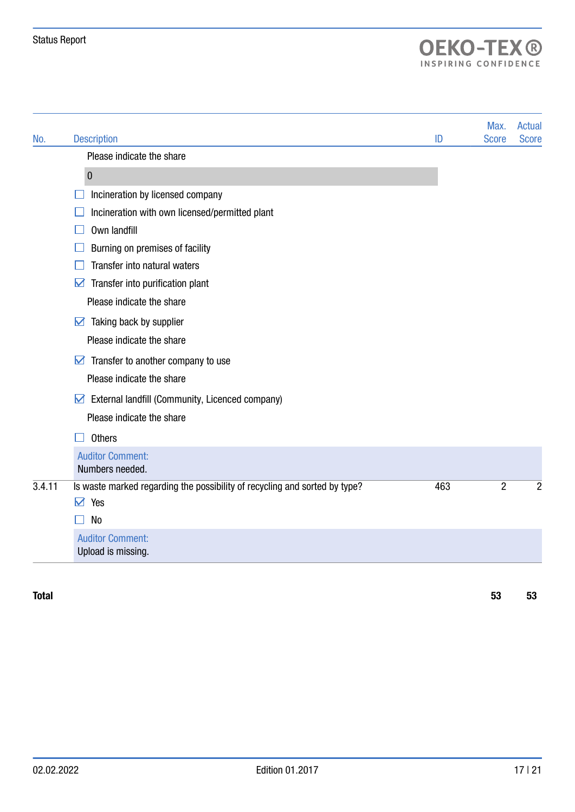# OEKO-TEX<sup>®</sup>

| No.    | <b>Description</b>                                                         | ID  | Max.<br><b>Score</b> | <b>Actual</b><br><b>Score</b> |
|--------|----------------------------------------------------------------------------|-----|----------------------|-------------------------------|
|        | Please indicate the share                                                  |     |                      |                               |
|        | $\pmb{0}$                                                                  |     |                      |                               |
|        | Incineration by licensed company                                           |     |                      |                               |
|        | Incineration with own licensed/permitted plant                             |     |                      |                               |
|        | Own landfill                                                               |     |                      |                               |
|        | Burning on premises of facility                                            |     |                      |                               |
|        | Transfer into natural waters                                               |     |                      |                               |
|        | Transfer into purification plant<br>M                                      |     |                      |                               |
|        | Please indicate the share                                                  |     |                      |                               |
|        | $\triangleright$ Taking back by supplier                                   |     |                      |                               |
|        | Please indicate the share                                                  |     |                      |                               |
|        | Transfer to another company to use<br>$\boldsymbol{\triangledown}$         |     |                      |                               |
|        | Please indicate the share                                                  |     |                      |                               |
|        | External landfill (Community, Licenced company)<br>☑                       |     |                      |                               |
|        | Please indicate the share                                                  |     |                      |                               |
|        | <b>Others</b>                                                              |     |                      |                               |
|        | <b>Auditor Comment:</b><br>Numbers needed.                                 |     |                      |                               |
| 3.4.11 | Is waste marked regarding the possibility of recycling and sorted by type? | 463 | $\overline{2}$       | $\overline{2}$                |
|        | Yes<br>☑                                                                   |     |                      |                               |
|        | N <sub>o</sub>                                                             |     |                      |                               |
|        | <b>Auditor Comment:</b><br>Upload is missing.                              |     |                      |                               |
|        |                                                                            |     |                      |                               |

Total 53 53 53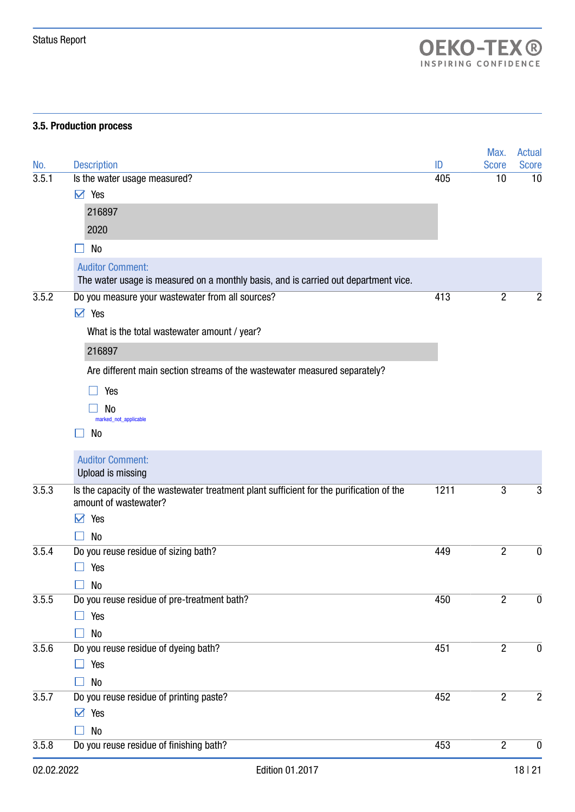#### 3.5. Production process

| 02.02.2022 | Edition 01.2017                                                                                                   |      |                | 18   21          |
|------------|-------------------------------------------------------------------------------------------------------------------|------|----------------|------------------|
| 3.5.8      | Do you reuse residue of finishing bath?                                                                           | 453  | $\overline{2}$ | $\mathbf 0$      |
|            | No                                                                                                                |      |                |                  |
|            | $\triangleright$ Yes                                                                                              |      |                |                  |
| 3.5.7      | Do you reuse residue of printing paste?                                                                           | 452  | $\overline{2}$ | $\overline{2}$   |
|            | No                                                                                                                |      |                |                  |
|            | Yes                                                                                                               |      |                |                  |
| 3.5.6      | No<br>Do you reuse residue of dyeing bath?                                                                        | 451  | $\overline{2}$ | $\boldsymbol{0}$ |
|            | Yes                                                                                                               |      |                |                  |
| 3.5.5      | Do you reuse residue of pre-treatment bath?                                                                       | 450  | $\overline{2}$ | 0                |
|            | <b>No</b>                                                                                                         |      |                |                  |
|            | Yes                                                                                                               |      |                |                  |
| 3.5.4      | Do you reuse residue of sizing bath?                                                                              | 449  | $\overline{2}$ | $\boldsymbol{0}$ |
|            | No                                                                                                                |      |                |                  |
|            | ☑<br>Yes                                                                                                          |      |                |                  |
| 3.5.3      | Is the capacity of the wastewater treatment plant sufficient for the purification of the<br>amount of wastewater? | 1211 | 3              | 3                |
|            | <b>Auditor Comment:</b><br>Upload is missing                                                                      |      |                |                  |
|            | No                                                                                                                |      |                |                  |
|            | No<br>marked_not_applicable                                                                                       |      |                |                  |
|            | Yes                                                                                                               |      |                |                  |
|            |                                                                                                                   |      |                |                  |
|            | Are different main section streams of the wastewater measured separately?                                         |      |                |                  |
|            | 216897                                                                                                            |      |                |                  |
|            | What is the total wastewater amount / year?                                                                       |      |                |                  |
|            | $\triangledown$ Yes                                                                                               |      |                |                  |
| 3.5.2      | Do you measure your wastewater from all sources?                                                                  | 413  | $\overline{2}$ | 2                |
|            | <b>Auditor Comment:</b><br>The water usage is measured on a monthly basis, and is carried out department vice.    |      |                |                  |
|            | No                                                                                                                |      |                |                  |
|            | 2020                                                                                                              |      |                |                  |
|            | 216897                                                                                                            |      |                |                  |
|            | $\vee$ Yes                                                                                                        |      |                |                  |
| 3.5.1      | Is the water usage measured?                                                                                      | 405  | 10             | 10               |
| No.        | <b>Description</b>                                                                                                | ID   | <b>Score</b>   | <b>Score</b>     |
|            |                                                                                                                   |      | Max.           | <b>Actual</b>    |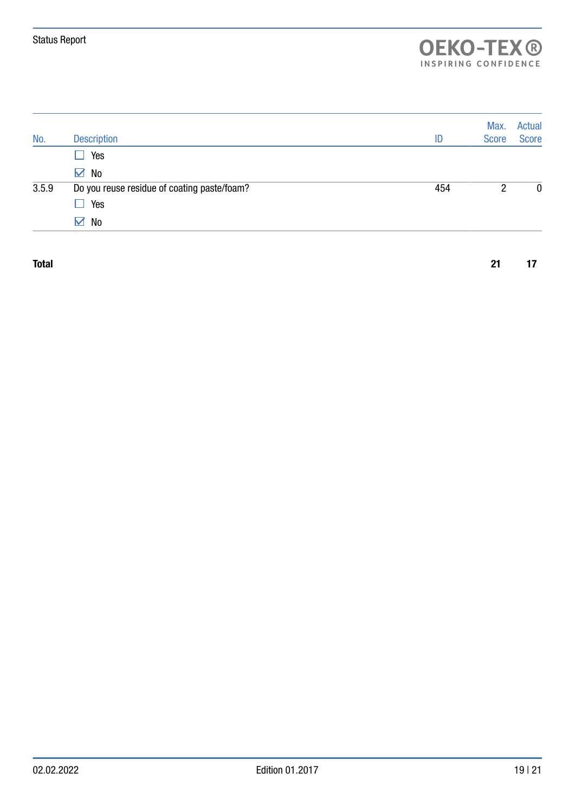| 2 | 0 |
|---|---|
|   |   |
|   |   |
|   |   |

Total 21 17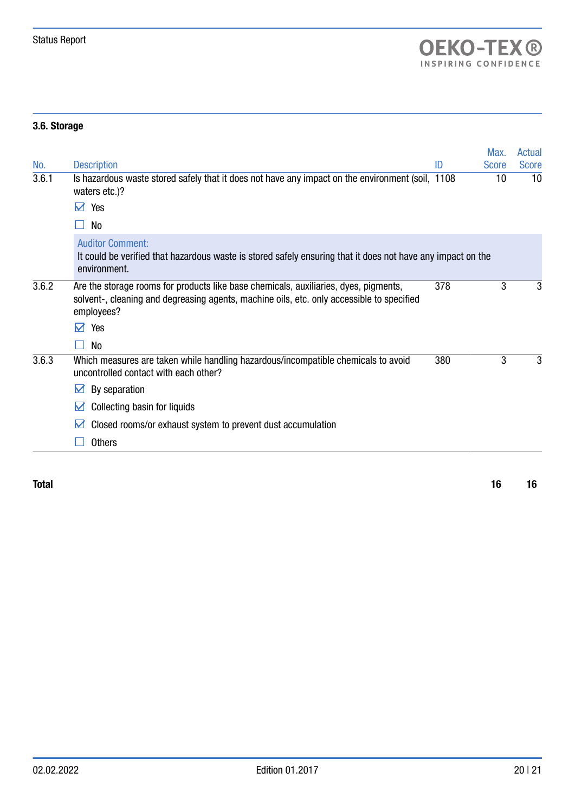## 3.6. Storage

|       |                                                                                                                                                                                                 |     | Max.         | Actual       |
|-------|-------------------------------------------------------------------------------------------------------------------------------------------------------------------------------------------------|-----|--------------|--------------|
| No.   | <b>Description</b>                                                                                                                                                                              | ID  | <b>Score</b> | <b>Score</b> |
| 3.6.1 | Is hazardous waste stored safely that it does not have any impact on the environment (soil, 1108)<br>waters etc.)?                                                                              |     | 10           | 10           |
|       | Yes<br>M                                                                                                                                                                                        |     |              |              |
|       | No                                                                                                                                                                                              |     |              |              |
|       | <b>Auditor Comment:</b><br>It could be verified that hazardous waste is stored safely ensuring that it does not have any impact on the<br>environment.                                          |     |              |              |
| 3.6.2 | Are the storage rooms for products like base chemicals, auxiliaries, dyes, pigments,<br>solvent-, cleaning and degreasing agents, machine oils, etc. only accessible to specified<br>employees? | 378 | 3            | 3            |
|       | Yes<br>М                                                                                                                                                                                        |     |              |              |
|       | No                                                                                                                                                                                              |     |              |              |
| 3.6.3 | Which measures are taken while handling hazardous/incompatible chemicals to avoid<br>uncontrolled contact with each other?                                                                      | 380 | 3            | 3            |
|       | By separation<br>M                                                                                                                                                                              |     |              |              |
|       | Collecting basin for liquids<br>M                                                                                                                                                               |     |              |              |
|       | Closed rooms/or exhaust system to prevent dust accumulation<br>M                                                                                                                                |     |              |              |
|       | <b>Others</b>                                                                                                                                                                                   |     |              |              |

Total 16 16